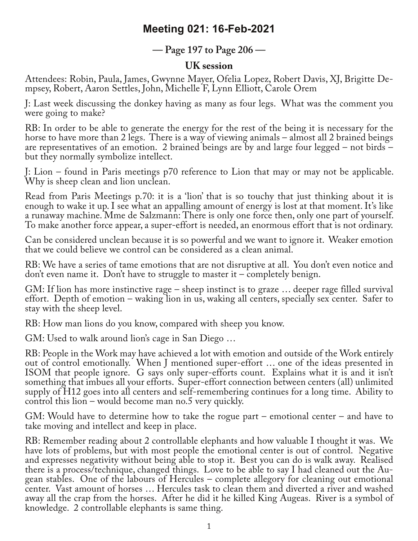## **Meeting 021: 16-Feb-2021**

**— Page 197 to Page 206 —**

## **UK session**

Attendees: Robin, Paula, James, Gwynne Mayer, Ofelia Lopez, Robert Davis, XJ, Brigitte De‐ mpsey, Robert, Aaron Settles, John, Michelle F, Lynn Elliott, Carole Orem

J: Last week discussing the donkey having as many as four legs. What was the comment you were going to make?

RB: In order to be able to generate the energy for the rest of the being it is necessary for the horse to have more than 2 legs. There is a way of viewing animals – almost all 2 brained beings are representatives of an emotion. 2 brained beings are by and large four legged – not birds – but they normally symbolize intellect.

J: Lion – found in Paris meetings p70 reference to Lion that may or may not be applicable. Why is sheep clean and lion unclean.

Read from Paris Meetings p.70: it is a 'lion' that is so touchy that just thinking about it is enough to wake it up. I see what an appalling amount of energy is lost at that moment. It's like a runaway machine. Mme de Salzmann: There is only one force then, only one part of yourself. To make another force appear, a super-effort is needed, an enormous effort that is not ordinary.

Can be considered unclean because it is so powerful and we want to ignore it. Weaker emotion that we could believe we control can be considered as a clean animal.

RB: We have a series of tame emotions that are not disruptive at all. You don't even notice and don't even name it. Don't have to struggle to master it – completely benign.

GM: If lion has more instinctive rage – sheep instinct is to graze … deeper rage filled survival effort. Depth of emotion – waking lion in us, waking all centers, specially sex center. Safer to stay with the sheep level.

RB: How man lions do you know, compared with sheep you know.

GM: Used to walk around lion's cage in San Diego …

RB: People in the Work may have achieved a lot with emotion and outside of the Work entirely out of control emotionally. When J mentioned super-effort … one of the ideas presented in ISOM that people ignore. G says only super-efforts count. Explains what it is and it isn't something that imbues all your efforts. Super-effort connection between centers (all) unlimited supply of H12 goes into all centers and self-remembering continues for a long time. Ability to control this lion – would become man no.5 very quickly.

GM: Would have to determine how to take the rogue part – emotional center – and have to take moving and intellect and keep in place.

RB: Remember reading about 2 controllable elephants and how valuable I thought it was. We have lots of problems, but with most people the emotional center is out of control. Negative and expresses negativity without being able to stop it. Best you can do is walk away. Realised there is a process/technique, changed things. Love to be able to say I had cleaned out the Au‐ gean stables. One of the labours of Hercules – complete allegory for cleaning out emotional center. Vast amount of horses … Hercules task to clean them and diverted a river and washed away all the crap from the horses. After he did it he killed King Augeas. River is a symbol of knowledge. 2 controllable elephants is same thing.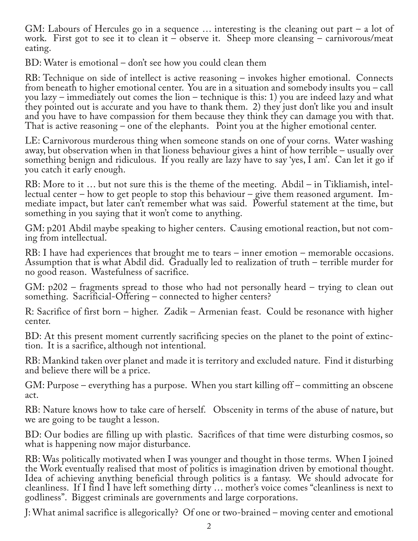GM: Labours of Hercules go in a sequence … interesting is the cleaning out part – a lot of work. First got to see it to clean it – observe it. Sheep more cleansing – carnivorous/meat eating.

BD: Water is emotional – don't see how you could clean them

RB: Technique on side of intellect is active reasoning – invokes higher emotional. Connects from beneath to higher emotional center. You are in a situation and somebody insults you – call you lazy – immediately out comes the lion – technique is this: 1) you are indeed lazy and what they pointed out is accurate and you have to thank them. 2) they just don't like you and insult and you have to have compassion for them because they think they can damage you with that. That is active reasoning – one of the elephants. Point you at the higher emotional center.

LE: Carnivorous murderous thing when someone stands on one of your corns. Water washing away, but observation when in that lioness behaviour gives a hint of how terrible – usually over something benign and ridiculous. If you really are lazy have to say 'yes, I am'. Can let it go if you catch it early enough.

RB: More to it … but not sure this is the theme of the meeting. Abdil – in Tikliamish, intellectual center – how to get people to stop this behaviour – give them reasoned argument. Im‐ mediate impact, but later can't remember what was said. Powerful statement at the time, but something in you saying that it won't come to anything.

GM: p201 Abdil maybe speaking to higher centers. Causing emotional reaction, but not com‐ ing from intellectual.

RB: I have had experiences that brought me to tears – inner emotion – memorable occasions. Assumption that is what Abdil did. Gradually led to realization of truth – terrible murder for no good reason. Wastefulness of sacrifice.

GM: p202 – fragments spread to those who had not personally heard – trying to clean out something. Sacrificial-Offering – connected to higher centers?

R: Sacrifice of first born – higher. Zadik – Armenian feast. Could be resonance with higher center.

BD: At this present moment currently sacrificing species on the planet to the point of extinction. It is a sacrifice, although not intentional.

RB: Mankind taken over planet and made it is territory and excluded nature. Find it disturbing and believe there will be a price.

GM: Purpose – everything has a purpose. When you start killing off – committing an obscene act.

RB: Nature knows how to take care of herself. Obscenity in terms of the abuse of nature, but we are going to be taught a lesson.

BD: Our bodies are filling up with plastic. Sacrifices of that time were disturbing cosmos, so what is happening now major disturbance.

RB: Was politically motivated when I was younger and thought in those terms. When I joined the Work eventually realised that most of politics is imagination driven by emotional thought. Idea of achieving anything beneficial through politics is a fantasy. We should advocate for cleanliness. If I find I have left something dirty … mother's voice comes "cleanliness is next to godliness". Biggest criminals are governments and large corporations.

J: What animal sacrifice is allegorically? Of one or two-brained – moving center and emotional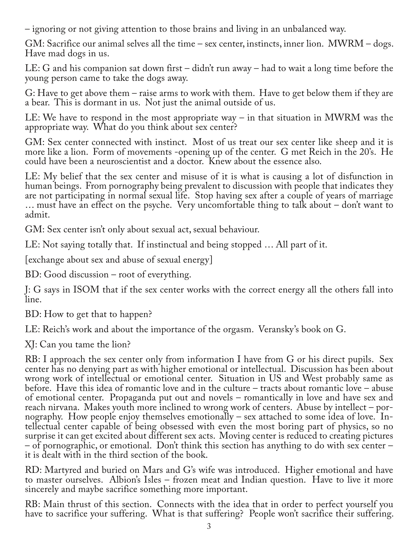– ignoring or not giving attention to those brains and living in an unbalanced way.

GM: Sacrifice our animal selves all the time – sex center, instincts, inner lion. MWRM – dogs. Have mad dogs in us.

LE: G and his companion sat down first – didn't run away – had to wait a long time before the young person came to take the dogs away.

G: Have to get above them – raise arms to work with them. Have to get below them if they are a bear. This is dormant in us. Not just the animal outside of us.

LE: We have to respond in the most appropriate way – in that situation in MWRM was the appropriate way. What do you think about sex center?

GM: Sex center connected with instinct. Most of us treat our sex center like sheep and it is more like a lion. Form of movements -opening up of the center. G met Reich in the 20's. He could have been a neuroscientist and a doctor. Knew about the essence also.

LE: My belief that the sex center and misuse of it is what is causing a lot of disfunction in human beings. From pornography being prevalent to discussion with people that indicates they are not participating in normal sexual life. Stop having sex after a couple of years of marriage … must have an effect on the psyche. Very uncomfortable thing to talk about – don't want to admit.

GM: Sex center isn't only about sexual act, sexual behaviour.

LE: Not saying totally that. If instinctual and being stopped … All part of it.

[exchange about sex and abuse of sexual energy]

BD: Good discussion – root of everything.

J: G says in ISOM that if the sex center works with the correct energy all the others fall into line.

BD: How to get that to happen?

LE: Reich's work and about the importance of the orgasm. Veransky's book on G.

XJ: Can you tame the lion?

RB: I approach the sex center only from information I have from G or his direct pupils. Sex center has no denying part as with higher emotional or intellectual. Discussion has been about wrong work of intellectual or emotional center. Situation in US and West probably same as before. Have this idea of romantic love and in the culture – tracts about romantic love – abuse of emotional center. Propaganda put out and novels – romantically in love and have sex and reach nirvana. Makes youth more inclined to wrong work of centers. Abuse by intellect - pornography. How people enjoy themselves emotionally – sex attached to some idea of love. Intellectual center capable of being obsessed with even the most boring part of physics, so no surprise it can get excited about different sex acts. Moving center is reduced to creating pictures – of pornographic, or emotional. Don't think this section has anything to do with sex center – it is dealt with in the third section of the book.

RD: Martyred and buried on Mars and G's wife was introduced. Higher emotional and have to master ourselves. Albion's Isles – frozen meat and Indian question. Have to live it more sincerely and maybe sacrifice something more important.

RB: Main thrust of this section. Connects with the idea that in order to perfect yourself you have to sacrifice your suffering. What is that suffering? People won't sacrifice their suffering.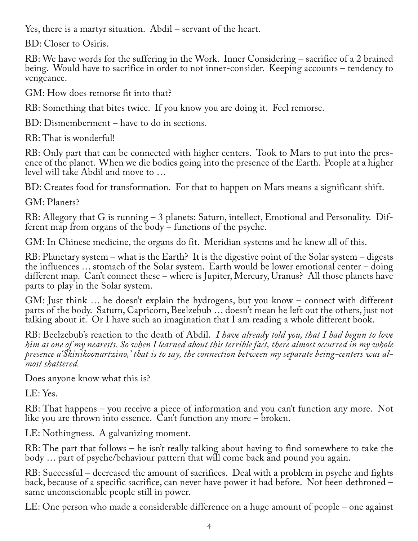Yes, there is a martyr situation. Abdil – servant of the heart.

BD: Closer to Osiris.

RB: We have words for the suffering in the Work. Inner Considering – sacrifice of a 2 brained being. Would have to sacrifice in order to not inner-consider. Keeping accounts – tendency to vengeance.

GM: How does remorse fit into that?

RB: Something that bites twice. If you know you are doing it. Feel remorse.

BD: Dismemberment – have to do in sections.

RB: That is wonderful!

RB: Only part that can be connected with higher centers. Took to Mars to put into the pres‐ ence of the planet. When we die bodies going into the presence of the Earth. People at a higher level will take Abdil and move to …

BD: Creates food for transformation. For that to happen on Mars means a significant shift.

GM: Planets?

RB: Allegory that G is running – 3 planets: Saturn, intellect, Emotional and Personality. Different map from organs of the body – functions of the psyche.

GM: In Chinese medicine, the organs do fit. Meridian systems and he knew all of this.

RB: Planetary system – what is the Earth? It is the digestive point of the Solar system – digests the influences … stomach of the Solar system. Earth would be lower emotional center – doing different map. Can't connect these – where is Jupiter, Mercury, Uranus? All those planets have parts to play in the Solar system.

GM: Just think … he doesn't explain the hydrogens, but you know – connect with different parts of the body. Saturn, Capricorn, Beelzebub … doesn't mean he left out the others, just not talking about it. Or I have such an imagination that I am reading a whole different book.

RB: Beelzebub's reaction to the death of Abdil. *I have already told you, that I had begun to love him as one of my nearests. So when I learned about this terrible fact, there almost occurred in my whole presence a'Skinikoonartzino,' that is to say, the connection between my separate being-centers was al‐ most shattered.*

Does anyone know what this is?

LE: Yes.

RB: That happens – you receive a piece of information and you can't function any more. Not like you are thrown into essence. Can't function any more – broken.

LE: Nothingness. A galvanizing moment.

RB: The part that follows – he isn't really talking about having to find somewhere to take the body … part of psyche/behaviour pattern that will come back and pound you again.

RB: Successful – decreased the amount of sacrifices. Deal with a problem in psyche and fights back, because of a specific sacrifice, can never have power it had before. Not been dethroned – same unconscionable people still in power.

LE: One person who made a considerable difference on a huge amount of people – one against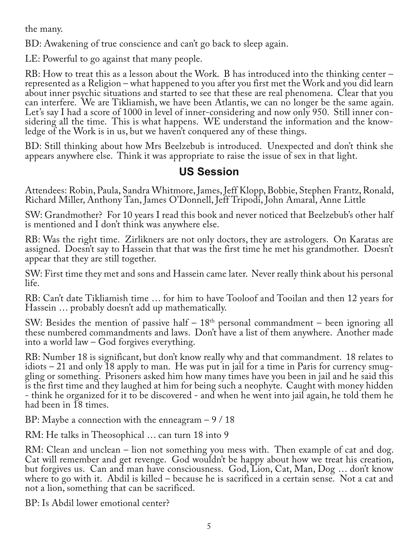the many.

BD: Awakening of true conscience and can't go back to sleep again.

LE: Powerful to go against that many people.

RB: How to treat this as a lesson about the Work. B has introduced into the thinking center – represented as a Religion – what happened to you after you first met the Work and you did learn about inner psychic situations and started to see that these are real phenomena. Clear that you can interfere. We are Tikliamish, we have been Atlantis, we can no longer be the same again. Let's say I had a score of 1000 in level of inner-considering and now only 950. Still inner con‐ sidering all the time. This is what happens. WE understand the information and the knowledge of the Work is in us, but we haven't conquered any of these things.

BD: Still thinking about how Mrs Beelzebub is introduced. Unexpected and don't think she appears anywhere else. Think it was appropriate to raise the issue of sex in that light.

## **US Session**

Attendees: Robin, Paula, Sandra Whitmore, James, Jeff Klopp, Bobbie, Stephen Frantz, Ronald, Richard Miller, Anthony Tan, James O'Donnell, Jeff Tripodi, John Amaral, Anne Little

SW: Grandmother? For 10 years I read this book and never noticed that Beelzebub's other half is mentioned and I don't think was anywhere else.

RB: Was the right time. Zirlikners are not only doctors, they are astrologers. On Karatas are assigned. Doesn't say to Hassein that that was the first time he met his grandmother. Doesn't appear that they are still together.

SW: First time they met and sons and Hassein came later. Never really think about his personal life.

RB: Can't date Tikliamish time … for him to have Tooloof and Tooilan and then 12 years for Hassein … probably doesn't add up mathematically.

SW: Besides the mention of passive half –  $18<sup>th</sup>$  personal commandment – been ignoring all these numbered commandments and laws. Don't have a list of them anywhere. Another made into a world law – God forgives everything.

RB: Number 18 is significant, but don't know really why and that commandment. 18 relates to idiots – 21 and only 18 apply to man. He was put in jail for a time in Paris for currency smug‐ gling or something. Prisoners asked him how many times have you been in jail and he said this is the first time and they laughed at him for being such a neophyte. Caught with money hidden - think he organized for it to be discovered - and when he went into jail again, he told them he had been in 18 times.

BP: Maybe a connection with the enneagram  $-9/18$ 

RM: He talks in Theosophical … can turn 18 into 9

RM: Clean and unclean – lion not something you mess with. Then example of cat and dog. Cat will remember and get revenge. God wouldn't be happy about how we treat his creation, but forgives us. Can and man have consciousness. God, Lion, Cat, Man, Dog … don't know where to go with it. Abdil is killed – because he is sacrificed in a certain sense. Not a cat and not a lion, something that can be sacrificed.

BP: Is Abdil lower emotional center?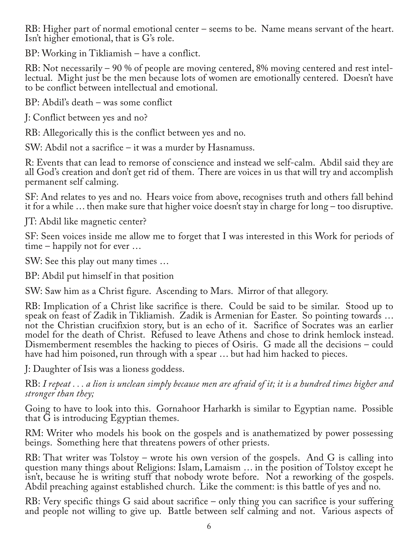RB: Higher part of normal emotional center – seems to be. Name means servant of the heart. Isn't higher emotional, that is G's role.

BP: Working in Tikliamish – have a conflict.

RB: Not necessarily – 90 % of people are moving centered, 8% moving centered and rest intellectual. Might just be the men because lots of women are emotionally centered. Doesn't have to be conflict between intellectual and emotional.

BP: Abdil's death – was some conflict

J: Conflict between yes and no?

RB: Allegorically this is the conflict between yes and no.

SW: Abdil not a sacrifice – it was a murder by Hasnamuss.

R: Events that can lead to remorse of conscience and instead we self-calm. Abdil said they are all God's creation and don't get rid of them. There are voices in us that will try and accomplish permanent self calming.

SF: And relates to yes and no. Hears voice from above, recognises truth and others fall behind it for a while … then make sure that higher voice doesn't stay in charge for long – too disruptive.

JT: Abdil like magnetic center?

SF: Seen voices inside me allow me to forget that I was interested in this Work for periods of time – happily not for ever …

SW: See this play out many times …

BP: Abdil put himself in that position

SW: Saw him as a Christ figure. Ascending to Mars. Mirror of that allegory.

RB: Implication of a Christ like sacrifice is there. Could be said to be similar. Stood up to speak on feast of Zadik in Tikliamish. Zadik is Armenian for Easter. So pointing towards … not the Christian crucifixion story, but is an echo of it. Sacrifice of Socrates was an earlier model for the death of Christ. Refused to leave Athens and chose to drink hemlock instead. Dismemberment resembles the hacking to pieces of Osiris. G made all the decisions – could have had him poisoned, run through with a spear … but had him hacked to pieces.

J: Daughter of Isis was a lioness goddess.

RB: *I repeat . . . a lion is unclean simply because men are afraid of it; it is a hundred times higher and stronger than they;*

Going to have to look into this. Gornahoor Harharkh is similar to Egyptian name. Possible that G is introducing Egyptian themes.

RM: Writer who models his book on the gospels and is anathematized by power possessing beings. Something here that threatens powers of other priests.

RB: That writer was Tolstoy – wrote his own version of the gospels. And G is calling into question many things about Religions: Islam, Lamaism … in the position of Tolstoy except he isn't, because he is writing stuff that nobody wrote before. Not a reworking of the gospels. Abdil preaching against established church. Like the comment: is this battle of yes and no.

RB: Very specific things G said about sacrifice – only thing you can sacrifice is your suffering and people not willing to give up. Battle between self calming and not. Various aspects of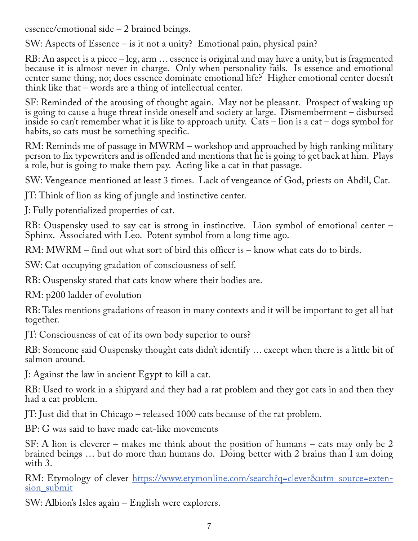essence/emotional side – 2 brained beings.

SW: Aspects of Essence – is it not a unity? Emotional pain, physical pain?

RB: An aspect is a piece – leg, arm … essence is original and may have a unity, but is fragmented because it is almost never in charge. Only when personality fails. Is essence and emotional center same thing, no; does essence dominate emotional life? Higher emotional center doesn't think like that – words are a thing of intellectual center.

SF: Reminded of the arousing of thought again. May not be pleasant. Prospect of waking up is going to cause a huge threat inside oneself and society at large. Dismemberment – disbursed inside so can't remember what it is like to approach unity. Cats – lion is a cat – dogs symbol for habits, so cats must be something specific.

RM: Reminds me of passage in MWRM – workshop and approached by high ranking military person to fix typewriters and is offended and mentions that he is going to get back at him. Plays a role, but is going to make them pay. Acting like a cat in that passage.

SW: Vengeance mentioned at least 3 times. Lack of vengeance of God, priests on Abdil, Cat.

JT: Think of lion as king of jungle and instinctive center.

J: Fully potentialized properties of cat.

RB: Ouspensky used to say cat is strong in instinctive. Lion symbol of emotional center – Sphinx. Associated with Leo. Potent symbol from a long time ago.

RM: MWRM – find out what sort of bird this officer is – know what cats do to birds.

SW: Cat occupying gradation of consciousness of self.

RB: Ouspensky stated that cats know where their bodies are.

RM: p200 ladder of evolution

RB: Tales mentions gradations of reason in many contexts and it will be important to get all hat together.

JT: Consciousness of cat of its own body superior to ours?

RB: Someone said Ouspensky thought cats didn't identify … except when there is a little bit of salmon around.

J: Against the law in ancient Egypt to kill a cat.

RB: Used to work in a shipyard and they had a rat problem and they got cats in and then they had a cat problem.

JT: Just did that in Chicago – released 1000 cats because of the rat problem.

BP: G was said to have made cat-like movements

SF: A lion is cleverer – makes me think about the position of humans – cats may only be 2 brained beings … but do more than humans do. Doing better with 2 brains than I am doing with 3.

RM: Etymology of clever https://www.etymonline.com/search?q=clever&utm\_source=extension submit

SW: Albion's Isles again – English were explorers.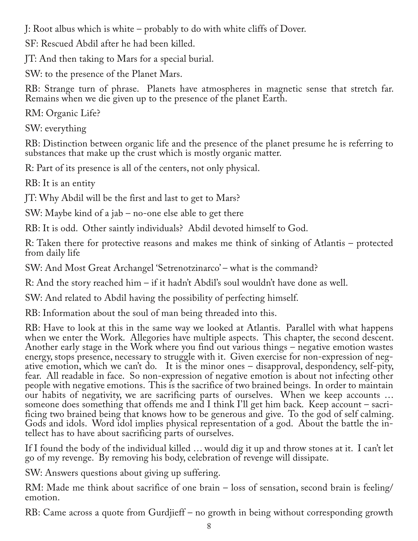J: Root albus which is white – probably to do with white cliffs of Dover.

SF: Rescued Abdil after he had been killed.

JT: And then taking to Mars for a special burial.

SW: to the presence of the Planet Mars.

RB: Strange turn of phrase. Planets have atmospheres in magnetic sense that stretch far. Remains when we die given up to the presence of the planet Earth.

RM: Organic Life?

SW: everything

RB: Distinction between organic life and the presence of the planet presume he is referring to substances that make up the crust which is mostly organic matter.

R: Part of its presence is all of the centers, not only physical.

RB: It is an entity

JT: Why Abdil will be the first and last to get to Mars?

SW: Maybe kind of a jab – no-one else able to get there

RB: It is odd. Other saintly individuals? Abdil devoted himself to God.

R: Taken there for protective reasons and makes me think of sinking of Atlantis – protected from daily life

SW: And Most Great Archangel 'Setrenotzinarco' – what is the command?

R: And the story reached him – if it hadn't Abdil's soul wouldn't have done as well.

SW: And related to Abdil having the possibility of perfecting himself.

RB: Information about the soul of man being threaded into this.

RB: Have to look at this in the same way we looked at Atlantis. Parallel with what happens when we enter the Work. Allegories have multiple aspects. This chapter, the second descent. Another early stage in the Work where you find out various things – negative emotion wastes energy, stops presence, necessary to struggle with it. Given exercise for non-expression of negative emotion, which we can't do. It is the minor ones – disapproval, despondency, self-pity, fear. All readable in face. So non-expression of negative emotion is about not infecting other people with negative emotions. This is the sacrifice of two brained beings. In order to maintain our habits of negativity, we are sacrificing parts of ourselves. When we keep accounts … someone does something that offends me and I think I'll get him back. Keep account – sacrificing two brained being that knows how to be generous and give. To the god of self calming. Gods and idols. Word idol implies physical representation of a god. About the battle the in‐ tellect has to have about sacrificing parts of ourselves.

If I found the body of the individual killed … would dig it up and throw stones at it. I can't let go of my revenge. By removing his body, celebration of revenge will dissipate.

SW: Answers questions about giving up suffering.

RM: Made me think about sacrifice of one brain – loss of sensation, second brain is feeling/ emotion.

RB: Came across a quote from Gurdjieff – no growth in being without corresponding growth